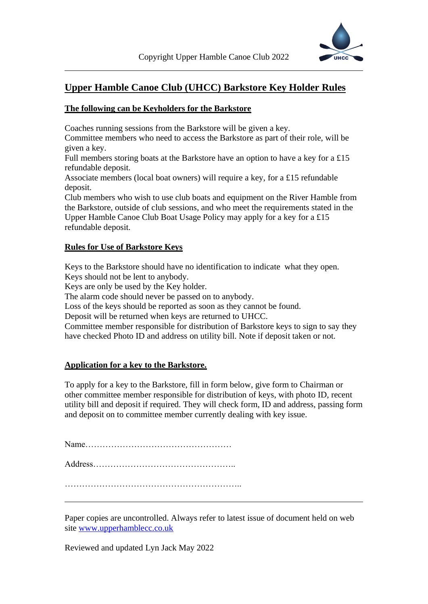

## **Upper Hamble Canoe Club (UHCC) Barkstore Key Holder Rules**

## **The following can be Keyholders for the Barkstore**

Coaches running sessions from the Barkstore will be given a key.

Committee members who need to access the Barkstore as part of their role, will be given a key.

Full members storing boats at the Barkstore have an option to have a key for a £15 refundable deposit.

Associate members (local boat owners) will require a key, for a £15 refundable deposit.

Club members who wish to use club boats and equipment on the River Hamble from the Barkstore, outside of club sessions, and who meet the requirements stated in the Upper Hamble Canoe Club Boat Usage Policy may apply for a key for a £15 refundable deposit.

## **Rules for Use of Barkstore Keys**

Keys to the Barkstore should have no identification to indicate what they open. Keys should not be lent to anybody.

Keys are only be used by the Key holder.

The alarm code should never be passed on to anybody.

Loss of the keys should be reported as soon as they cannot be found.

Deposit will be returned when keys are returned to UHCC.

Committee member responsible for distribution of Barkstore keys to sign to say they have checked Photo ID and address on utility bill. Note if deposit taken or not.

## **Application for a key to the Barkstore.**

To apply for a key to the Barkstore, fill in form below, give form to Chairman or other committee member responsible for distribution of keys, with photo ID, recent utility bill and deposit if required. They will check form, ID and address, passing form and deposit on to committee member currently dealing with key issue.

Name……………………………………………

Address…………………………………………..

……………………………………………………..

Paper copies are uncontrolled. Always refer to latest issue of document held on web site [www.upperhamblecc.co.uk](http://www.upperhamblecc.co.uk/)

Reviewed and updated Lyn Jack May 2022